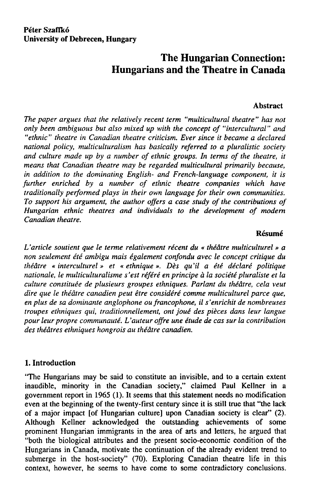### **Peter Szaffkó University of Debrecen, Hungary**

# **The Hungarian Connection: Hungarians and the Theatre in Canada**

#### **Abstract**

*The páper argues that the relatively recent term "multicultural theatre" has not only been ambiguous but also mixed up with the concept of "intercultural" and "ethnic" theatre in Canadian theatre criticism. Ever since it became a declared national policy, multiculturalism has basically referred to a pluralistic society and culture made up by a number of ethnic groups. In terms of the theatre, it means that Canadian theatre may be regarded multicultural primarily because, in addition to the dominating English- and French-language component, it is further enriched by a number of ethnic theatre companies which have traditionally performed plays in their own language for their own communities. To support his argument, the author offers a case study of the contributions of Hungarian ethnic theatres and individuals to the development of modem Canadian theatre.* 

### **Résumé**

*ťarticle soutient que le terme relativement récent du « théátre multiculturel » a non seulement été ambigu mais également confondu avec le concept critique du théátre « interculturel» et « ethnique ». Děs qu 'il a été déclaré politique nationale, le multiculturalisme s 'est référé en principe á la société pluraliste et la culture constituée de plusieurs groupes ethniques. Parlant du théátre, cela veut dire que le théátre canadien peut étre considéré comme multiculturel parce que, en plus de sa dominantě anglophone ou francophone, il s'enrichit de nombreuses troupes ethniques qui, traditionnellement, ont joué des piěces dans leur langue*  pour leur propre communauté. L'auteur offre une étude de cas sur la contribution *des théátres ethniques hongrois au théátre canadien.* 

# **1. Introduction**

"The Hungarians may be said to constitute an invisible, and to a certain extent inaudible, minority in the Canadian society," claimed Paul Kellner in a government report in 1965 (1). It seems that this statement needs no modification even at the beginning of the twenty-first century since it is still true that "the lack of a major impact [of Hungarian culture] upon Canadian society is clear" (2). Although Kellner acknowledged the outstanding achievements of some prominent Hungarian immigrants in the area of arts and letters, he argued that "both the biological attributes and the present socio-economic condition of the Hungarians in Canada, motivate the continuation of the already evident trend to submerge in the host-society" (70). Exploring Canadian theatre life in this context, however, he seems to have come to some contradictory conclusions.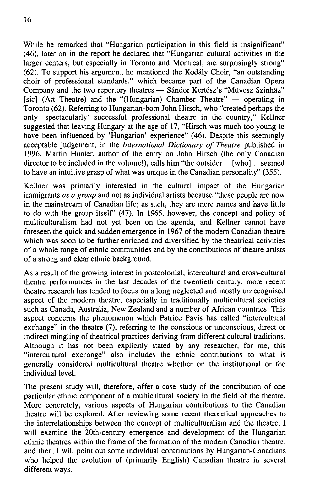While he remarked that "Hungarian participation in this fíeld is insignificant" (46), later on in tne report he declared that "Hungarian cultural activities in the larger centers, but especially in Toronto and Montreal, are surprisingly strong" (62). To support his argument, he mentioned the Kodály Choir, "an outstanding choir of professional standards," which became part of the Canadian Opera Company and the two repertory theatres — Sándor Kertész's "Müvesz Szinhäz" [sic] (Art Theatre) and the "(Hungarian) Chamber Theatre" — operating in Toronto (62). Referring to Hungarian-born John Hirsch, who "created perhaps the only 'spectacularly' successful professional theatre in the country," Kellner suggested that leaving Hungary at the age of 17, "Hirsch was much too young to have been influenced by 'Hungarian' experience" (46). Despite this seemingly acceptable judgement, in the *International Dictionary of Theatre* published in 1996, Martin Hunter, author of the entry on John Hirsch (the only Canadian director to be included in the volume!), calls him "the outsider ... [who]... seemed to have an intuitive grasp of what was unique in the Canadian personality" (355).

Kellner was primarily interested in the cultural impact of the Hungarian immigrants *as a group* and not as individual artists because "these people are now in the mainstream of Canadian life; as such, they are mere names and have little to do with the group itself' (47). In 1965, however, the concept and policy of multiculturalism had not yet been on the agenda, and Kellner cannot have foreseen the quick and sudden emergence in 1967 of the modem Canadian theatre which was soon to be further enriched and diversified by the theatrical activities of a whole range of ethnic communities and by the contributions of theatre artists of a strong and clear ethnic background.

As a result of the growing interest in postcolonial, intercultural and cross-cultural theatre performances in the last decades of the twentieth century, more recent theatre research has tended to focus on a long neglected and mostly unrecognised aspect of the modem theatre, especially in traditionally multicultural societies such as Canada, Australia, New Zealand and a number of African countries. This aspect concems the phenomenon which Patrice Pavis has called "intercultural exchange" in the theatre (7), referring to the conscious or unconscious, direct or indirect mingling of theatrical practices deriving from different cultural traditions. Although it has not been explicitly stated by any researcher, for me, this "intercultural exchange" also includes the ethnic contributions to what is generally considered multicultural theatre whether on the institutional or the individual level.

The present study will, therefore, offer a case study of the contribution of one particular ethnic component of a multicultural society in the field of the theatre. More concretely, various aspects of Hungarian contributions to the Canadian theatre will be explored. After reviewing some recent theoretical approaches to the interrelationships between the concept of multiculturalism and the theatre, I will examine the 20th-century emergence and development of the Hungarian ethnic theatres within the frame of the formation of the modem Canadian theatre, and then, I will point out some individual contributions by Hungarian-Canadians who helped the evolution of (primarily English) Canadian theatre in several different ways.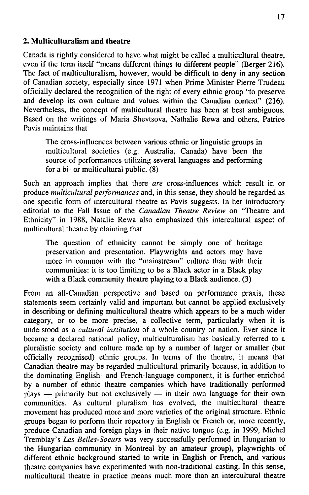### 2. **Multiculturalism and theatre**

Canada is rightly considered to have what might be called a multicultural theatre, even if the term itself "means different things to different people" (Berger 216). The fact of multiculturalism, however, would be difficult to deny in any section of Canadian society, especially since 1971 when Prime Minister Pierre Trudeau officially declared the recognition of the right of every ethnic group "to preserve and develop its own culture and values within the Canadian context" (216). Nevertheless, the concept of multicultural theatre has been at best ambiguous. Based on the writings of Maria Shevtsova, Nathalie Rewa and others, Patrice Pavis maintains that

The cross-influences between various ethnic or linguistic groups in multicultural societies (e.g. Australia, Canada) have been the source of performances utilizing several languages and performing for a bi- or multicultural public. (8)

Such an approach implies that there *are* cross-influences which result in or produce *multicultural performances* and, in this sense, they should be regarded as one specific form of intercultural theatre as Pavis suggests. In her introductory editorial to the Fall Issue of the *Canadian Theatre Review* on "Theatre and Ethnicity" in 1988, Natalie Rewa also emphasized this intercultural aspect of multicultural theatre by claiming that

The question of ethnicity cannot be simply one of heritage preservation and presentation. Playwrights and actors may have more in common with the "mainstream" culture than with their communities: it is too limiting to be a Black actor in a Black play with a Black community theatre playing to a Black audience. (3)

From an all-Canadian perspective and based on performance praxis, these statements seem certainly valid and important but cannot be applied exclusively in describing or defining multicultural theatre which appears to be a much wider category, or to be more precise, a collective term, particularly when it is understood as a *cultural institution* of a whole country or nation. Ever since it became a declared national policy, multiculturalism has basically referred to a pluralistic society and culture made up by a number of larger or smaller (but officially recognised) ethnic groups. In terms of the theatre, it means that Canadian theatre may be regarded multicultural primarily because, in addition to the dominating English- and French-language component, it is further enriched by a number of ethnic theatre companies which have traditionally performed plays — primarily but not exclusively — in their own language for their own communities. As cultural pluralism has evolved, the multicultural theatre movement has produced more and more varieties of the originál structure. Ethnic groups began to perform their repertory in English or French or, more recently, produce Canadian and foreign plays in their native tongue (e.g. in 1999, Michel Tremblay's *Les Belles-Soeurs* was very successfully performed in Hungarian to the Hungarian community in Montreal by an amateur group), playwrights of different ethnic background started to write in English or French, and various theatre companies have experimented with non-traditional casting. In this sense, multicultural theatre in practice means much more than an intercultural theatre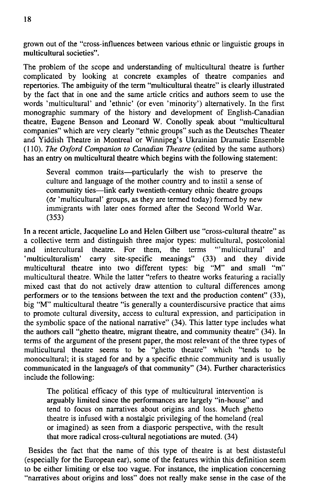grown out of the "cross-influences between various ethnic or linguistic groups in multicultural societies".

The problem of the scope and understanding of multicultural theatre is further complicated by looking at concrete examples of theatre companies and repertories. The ambiguity of the term "multicultural theatre" is clearly illustrated by the fact that in one and the same article critics and authors seem to use the words 'multicultural' and 'ethnic' (or even 'minority') alternatively. In the first monographic summary of the history and development of English-Canadian theatre, Eugene Benson and Leonard W. Conolly speak about "multicultural companies" which are very clearly "ethnic groups" such as the Deutsches Theater and Yiddish Theatre in Montreal or Winnipeg's Ukrainian Dramatic Ensemble (110). *The Oxford Companion to Canadian Theatre* (edited by the same authors) has an entry on multicultural theatre which begins with the following statement:

Several common traits—particularly the wish to preserve the culture and language of the mother country and to instil a sense of community ties—link early twentieth-century ethnic theatre groups (Or 'multicultural' groups, as they are termed today) formed by new immigrants with later ones formed after the Second World War. (353)

In a recent article, Jacqueline Lo and Helen Gilbert use "cross-cultural theatre" as a collective term and distinguish three major types: multicultural, postcolonial and intercultural theatre. For them, the terms "'multicultural' and 'multiculturalism' carry site-specific meanings" (33) and they divide multicultural theatre into two different types: big "M" and small "m" multicultural theatre. While the latter "refers to theatre works featuring a racially mixed cast that do not actively draw attention to cultural differences among performers or to the tensions between the text and the production content" (33), big "M" multicultural theatre "is generally a counterdiscursive practice that aims to promote cultural diversity, access to cultural expression, and participation in the symbolic space of the national narrative" (34). This latter type includes what the authors call "ghetto theatre, migrant theatre, and community theatre" (34). In terms of the argument of the present páper, the most relevant of the three types of multicultural theatre seems to be "ghetto theatre" which "tends to be monocultural; it is staged for and by a specific ethnic community and is usually communicated in the language/s of that community" (34). Further characteristics include the following:

The political efficacy of this type of multicultural intervention is arguably limited since the performances are largely "in-house" and tend to focus on narratives about origins and loss. Much ghetto theatre is infused with a nostalgic privileging of the homeland (real or imagined) as seen from a diasporic perspective, with the result that more radical cross-cultural negotiations are muted. (34)

Besides the fact that the name of this type of theatre is at best distasteful (especially for the European ear), some of the features within this definition seem to be either limiting or else too vague. For instance, the implication concerning "narratives about origins and loss" does not really make sense in the case of the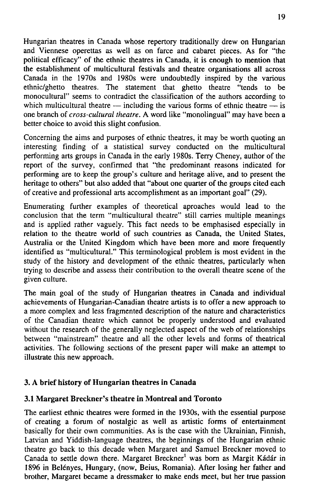Hungarian theatres in Canada whose repertory traditionally drew on Hungarian and Viennese operettas as well as on farce and cabaret pieces. As for "tne political efficacy" of the ethnic theatres in Canada, it is enough to mention that the establishment of multicultural festivals and theatre organisations all across Canada in the 1970s and 1980s were undoubtedly inspired by the various ethnic/ghetto theatres. The statement that ghetto theatre "tends to be monocultural" seems to contradict the classification of the authors according to which multicultural theatre — including the various forms of ethnic theatre — is one branch of *cross-cultural theatre.* A word like "monolingual" may have been a better choice to avoid this slight confusion.

Concerning the aims and purposes of ethnic theatres, it may be worth quoting an interesting finding of a statistical survey conducted on the multicultural performing arts groups in Canada in the early 1980s. Terry Cheney, author of the report of the survey, confirmed that "the predominant reasons indicated for performing are to keep the group's culture and heritage alive, and to present the heritage to others" but also added that "about one quarter of the groups cited each of creative and professional arts accomplishment as an important goal" (29).

Enumerating further examples of theoretical aproaches would lead to the conclusion that the term "multicultural theatre" still carries multiple meanings and is applied rather vaguely. This fact needs to be emphasised especially in relation to the theatre world of such countries as Canada, the United States, Australia or the United Kingdom which have been more and more frequently identified as "multicultural." This terminological problem is most evident in the study of the history and development of the ethnic theatres, particularly when trying to describe and assess their contribution to the overall theatre scene of the given culture.

The main goal of the study of Hungarian theatres in Canada and individual achievements of Hungarian-Canadian theatre artists is to offer a new approach to a more complex and less fragmented description of the nature and characteristics of the Canadian theatre which cannot be properly understood and evaluated without the research of the generally neglected aspect of the web of relationships between "mainstream" theatre and all the other levels and forms of theatrical activities. The following sections of the present paper will make an attempt to illustrate this new approach.

# **3.** A **brief history of Hungarian theatres in Canada**

### **3.1 Margaret Breckncr's theatre in Montreal and Toronto**

The earliest ethnic theatres were formed in the 1930s, with the essential purpose of creating a fórum of nostalgie as well as artistic forms of entertainment basically for their own communities. As is the case with the Ukrainian, Finnish, Latvian and Yiddish-language theatres, the beginnings of the Hungarian ethnic theatre go back to this decade when Margaret and Samuel Breckner moved to Canada to settle down there. Margaret Breckner<sup>1</sup> was born as Margit Kádár in 1896 in Belényes, Hungary, (now, Beius, Romania). After losing her father and brother, Margaret became a dressmaker to make ends meet, but her true passion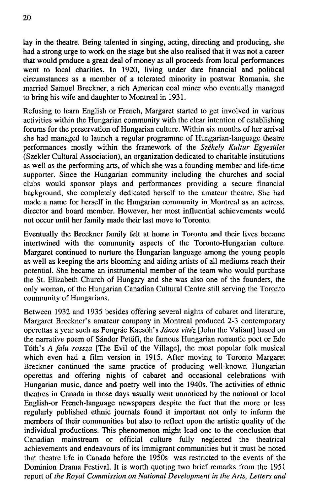lay in the theatre. Being talented in singing, acting, directing and producing, she had a strong urge to work on the stage but she also realised that it was not a career that would produce a great deal of money as all proceeds from local performances went to local charities. In 1920, living under dire financial and political circumstances as a member of a tolerated minority in postwar Romania, she married Samuel Breckner, a rich American coal miner who eventually managed to bring his wife and daughter to Montreal in 1931.

Refusing to learn English or French, Margaret started to get involved in various activities within the Hungarian community with the clear intention of establishing forums for the preservation of Hungarian culture. Within six months of her arrival she had managed to launch a regular programme of Hungarian-language theatre performances mostly within the framework of the *Székely Kultur Egyesiilet*  (Szekler Cultural Association), an organization dedicated to charitable institutions as well as the performing arts, of which she was a founding member and life-time supporter. Since the Hungarian community including the churches and social clubs would sponsor plays and performances providing a secure financial background, she completely dedicated herself to the amateur theatre. She had made a name for herself in the Hungarian community in Montreal as an actress, director and board member. However, her most influential achievements would not occur until her family made their last move to Toronto.

Eventually the Breckner family felt at home in Toronto and their lives became intertwined with the community aspects of the Toronto-Hungarian culture. Margaret continued to nurture the Hungarian language among the young people as well as keeping the arts blooming and aiding artists of all mediums reach their potential. She became an instrumental member of the team who would purchase the St. Elizabeth Church of Hungary and she was also one of the founders, the only woman, of the Hungarian Canadian Cultural Centre still serving the Toronto community of Hungarians.

Between 1932 and 1935 besides offering several nights of cabaret and literature, Margaret Breckner's amateur company in Montreal produced 2-3 contemporary operettas a year such as Pongrác Kacsóh's *Jánoš vitéz* [John the Valiant] based on the narrative poem of Sándor Petófi, the famous Hungarian romantic poet or Ede Tóth's *A falu rossza* [The Evil of the Village], the most popular folk musical which even had a film version in 1915. After moving to Toronto Margaret Breckner continued the same practice of producing well-known Hungarian operettas and offering nights of cabaret and occasional celebrations with Hungarian music, dance and poetry well into the 1940s. The activities of ethnic theatres in Canada in those days usually went unnoticed by the national or local English-or French-language newspapers despite the fact that the more or less regularly published ethnic journals found it important not only to inform the members of their communities but also to reflect upon the artistic quality of the individual productions. This phenomenon might lead one to the conclusion that Canadian mainstream or official culture fully neglected the theatrical achievements and endeavours of its immigrant communities but it must be noted that theatre life in Canada before the 1950s was restricted to the events of the Dominion Drama Festival. It is worth quoting two brief remarks from the 1951 report of *the Royal Commission on National Development in the Arts, Letters and*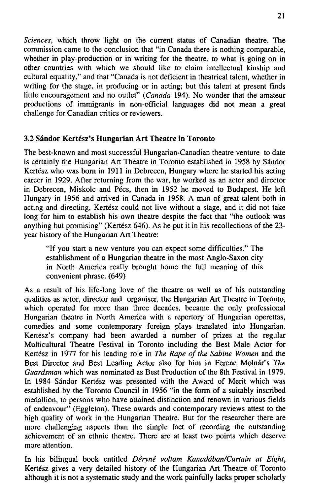*Sciences,* which throw light on the current status of Canadian theatre. The commission came to the conclusion that "in Canada there is nothing comparable, whether in play-production or in writing for the theatre, to what is going on in other countries with which we should like to claim intellectual kinship and cultural equality," and that "Canada is not deficient in theatrical talent, whether in writing for the stage, in producing or in acting; but this talent at present finds little encouragement and no outlet" *(Canada* 194). No wonder that the amateur productions of immigrants in non-official languages did not mean a great challenge for Canadian critics or reviewers.

# 3.2 Sándor Kertész's **Hungarian Art Theatre in Toronto**

The best-known and most successful Hungarian-Canadian theatre venture to date is certainly the Hungarian Art Theatre in Toronto established in 1958 by Sándor Kertész who was born in 1911 in Debrecen, Hungary where he started his acting career in 1929. After returning from the war, he worked as an actor and director in Debrecen, Miskolc and Pécs, then in 1952 he moved to Budapest. He left Hungary in 1956 and arrived in Canada in 1958. A man of great talent both in acting and directing, Kertész could not live without a stage, and it did not take long for him to establish his own theatre despite the fact that "the Outlook was anything but promising" (Kertész 646). As he put it in his recollections of the 23 year history of the Hungarian Art Theatre:

"If you start a new venture you can expect some difficulties." The establishment of a Hungarian theatre in the most Anglo-Saxon city in North America really brought home the full meaning of this convenient phrase. (649)

As a result of his life-long love of the theatre as well as of his outstanding qualities as actor, director and organiser, the Hungarian Art Theatre in Toronto, which operated for more than three decades, became the only professional Hungarian theatre in North America with a repertory of Hungarian operettas, comedies and some contemporary foreign plays translated into Hungarian. Kertész's company had been awarded a number of prizes at the regular Multicultural Theatre Festival in Toronto including the Best Male Actor for Kertész in 1977 for his leading role in *The Rape of the Sabině Women* and the Best Director and Best Leading Actor also for him in Ferenc Molnár's *The Guardsman* which was nominated as Best Production of the 8th Festival in 1979. In 1984 Sándor Kertész was presented with the Award of Merit which was established by the Toronto Council in 1956 "in the form of a suitably inscribed medallion, to persons who have attained distinction and renown in various fields of endeavour" (Eggleton). These awards and contemporary reviews attest to the high quality of work in the Hungarian Theatre. But for the researcher there are more challenging aspects than the simple fact of recording the outstanding achievement of an ethnic theatre. There are at least two points which deserve more attention.

In his bilingual book entitled *Déryné voltam Kanadában/Curtain at Eight,*  Kertész gives a very detailed history of the Hungarian Art Theatre of Toronto although it is not a systematic study and the work painfully lacks proper scholarly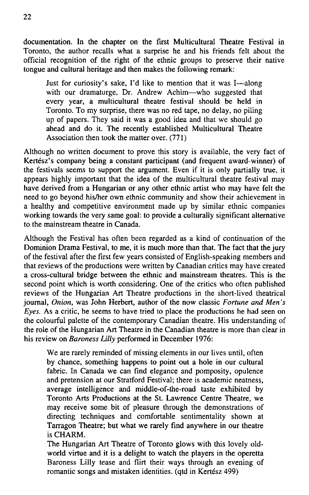documentation. In the chapter on the first Multicultural Theatre Festival in Toronto, the author recalls what a surprise he and his friends felt about the official recognition of the right of the ethnic groups to preserve their native tongue and cultural heritage and then makes the following remark:

Just for curiosity's sake, I'd like to mention that it was I—along with our dramaturge, Dr. Andrew Achim—who suggested that every year, a multicultural theatre festival should be held in Toronto. To my surprise, there was no red tape, no delay, no piling up of papers. They said it was a good idea and that we should go ahead and do it. The recently established Multicultural Theatre Association then took the matter over. (771)

Although no written document to prove this story is available, the very fact of Kertész's company being a constant participant (and frequent award-winner) of the festivals seems to support the argument. Even if it is only partially true, it appears highly important that the idea of the multicultural theatre festival may have derived from a Hungarian or any other ethnic artist who may have felt the need to go beyond his/her own ethnic community and show their achievement in a healthy and competitive environment made up by similar ethnic companies working towards the very same goal: to provide a culturally significant alternative to the mainstream theatre in Canada.

Although the Festival has often been regarded as a kind of continuation of the Dominion Drama Festival, to me, it is much more than that. The fact that the jury of the festival after the fírst few years consisted of English-speaking members and that reviews of the productions were written by Canadian critics may have created a cross-cultural bridge between the ethnic and mainstream theatres. This is the second point which is worth considering. One of the critics who often published reviews of the Hungarian Art Theatre productions in the short-lived theatrical joumal, *Onion,* was John Herbert, author of the now classic *Fortune and Men's Eyes.* As a critic, he seems to have tried to place the productions he had seen on the colourful palette of the contemporary Canadian theatre. His understanding of the role of the Hungarian Art Theatre in the Canadian theatre is more than clear in his review on *Baroness Lilly* performed in December 1976:

We are rarely reminded of missing elements in our lives until, often by chance, something happens to point out a hole in our cultural fabric. In Canada we can find elegance and pomposity, opulence and pretension at our Stratford Festival; there is academie neatness, average intelligence and middle-of-the-road taste exhibited by Toronto Arts Productions at the St. Lawrence Centre Theatre, we may receive some bit of pleasure through the demonstrations of directing techniques and comfortable sentimentality shown at Tarragon Theatre; but what we rarely find anywhere in our theatre is CHARM.

The Hungarian Art Theatre of Toronto glows with this lovely oldworld virtue and it is a delight to watch the players in the operetta Baroness Lilly tease and flirt their ways through an evening of romantic songs and mistaken identities. (qtd in Kertész 499)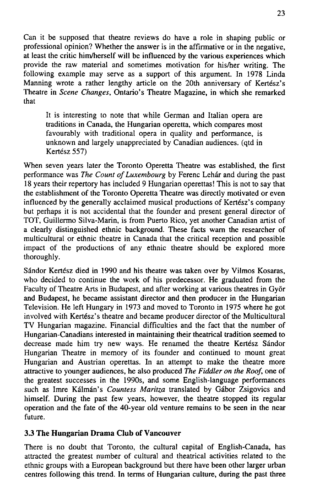Can it be supposed that theatre reviews do have a role in shaping public oř professional opinion? Whether the answer is in the affirmative or in the negative, at least the critic him/herself will be influenced by the various experiences which provide the raw material and sometimes motivation for his/her writing. The following example may serve as a support of this argument. In 1978 Linda Manning wrote a rather lengthy article on the 20th anniversary of Kertész's Theatre in *Scene Changes,* Ontario's Theatre Magazíne, in which she remarked that

It is interesting to note that while German and Italian opera are traditions in Canada, the Hungarian operetta, which compares most favourably with traditional opera in quality and performance, is unknown and largely unappreciated by Canadian audiences. (qtd in Kertész 557)

When seven years later the Toronto Operetta Theatre was established, the first performance was *The Count of Luxembourg* by Ferenc Lehár and during the past 18 years their repertory has included 9 Hungarian operettas! This is not to say that the establishment of the Toronto Operetta Theatre was directly motivated or even influenced by the generally acclaimed musical productions of Kertész's company but perhaps it is not accidental that the founder and present general director of TOT, Guillermo Silva-Marin, is from Puerto Rico, yet another Canadian artist of a clearly distinguished ethnic background. These facts warn the researcher of multicultural or ethnic theatre in Canada that the critical reception and possible impact of the productions of any ethnic theatre should be explored more thoroughly.

Sándor Kertész died in 1990 and his theatre was taken over by Vilmos Kosaras, who decided to continue the work of his predecessor. He graduated from the Faculty of Theatre Arts in Budapest, and after working at various theatres in Gyór and Budapest, he became assistant director and then producer in the Hungarian Television. He left Hungary in 1973 and moved to Toronto in 1975 where he got involved with Kertész's theatre and became producer director of the Multicultural TV Hungarian magazíne. Financial difficulties and the fact that the number of Hungarian-Canadians interested in maintaining their theatrical tradition seemed to decrease made him try new ways. He renamed the theatre Kertész Sándor Hungarian Theatre in memory of its founder and continued to mount great Hungarian and Austrian operettas. In an attempt to make the theatre more attractive to younger audiences, he also produced *The Fiddler on the Roof,* one of the greatest successes in the 1990s, and some English-language performances such as Imre Kálmán's *Countess Maritza* translated by Gábor Zsigovics and himself. During the past few years, however, the theatre stopped its regular operation and the fate of the 40-year old venture remains to be seen in the near future.

# **3.3 The Hungarian Drama Club of Vancouver**

There is no doubt that Toronto, the cultural capital of English-Canada, has attracted the greatest number of cultural and theatrical activities related to the ethnic groups with a European background but there have been other larger urban centres following this trend. In terms of Hungarian culture, during the past three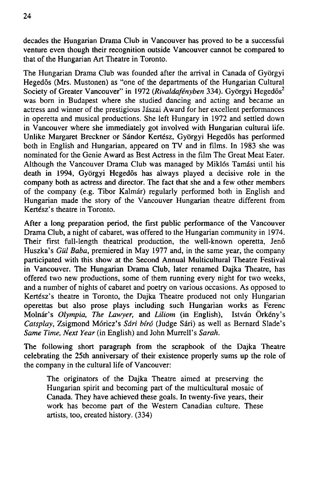decades the Hungarian Drama Club in Vancouver has proved to be a successful venture even though their recognition outside Vancouver cannot be compared to that of the Hungarian Art Theatre in Toronto.

The Hungarian Drama Club was founded after the arrival in Canada of Gyorgyi Hegedós (Mrs. Mustonen) as "one of the departments of the Hungarian Cultural Society of Greater Vancouver" in 1972 (Rivaldafényben 334). Györgyi Hegedős<sup>2</sup> was born in Budapest where she studied dancing and acting and became an actress and winner of the prestigious Jászai Award for her excellent performances in operetta and musical productions. She left Hungary in 1972 and settled down in Vancouver where she immediately got involved with Hungarian cultural life. Unlike Margaret Breckner or Sándor Kertész, Gyorgyi Hegedós has performed both in English and Hungarian, appeared on TV and in films. In 1983 she was nominated for the Genie Award as Best Actress in the film The Great Meat Eater. AIthough the Vancouver Drama Club was managed by Miklós Tamási until his death in 1994, Gyorgyi Hegedós has always played a decisive role in the company both as actress and director. The fact that she and a few other members of the company (e.g. Tibor Kalmár) regularly performed both in English and Hungarian made the story of the Vancouver Hungarian theatre different from Kertész's theatre in Toronto.

After a long preparation period, the first public performance of the Vancouver Drama Club, a night of cabaret, was offered to the Hungarian community in 1974. Their first full-length theatrical production, the well-known operetta, Jenó Huszka's *Giil Baba,* premiered in May 1977 and, in the same year, the company participated with this show at the Second Annual Multicultural Theatre Festival in Vancouver. The Hungarian Drama Club, later renamed Dajka Theatre, has offered two new productions, some of them running every night for two weeks, and a number of nights of cabaret and poetry on various occasions. As opposed to Kertész's theatre in Toronto, the Dajka Theatre produced not only Hungarian operettas but also prose plays including such Hungarian works as Ferenc Molnár's *Olympia, The Lawyer,* and *Liliom* (in English), István Órkény's *Catsplay,* Zsigmond Móricz's *Sári bíró* (Judge Sári) as well as Bernard Slade's *Same Time, Next Year* (in English) and John Murrell's Sarah.

The following short paragraph from the scrapbook of the Dajka Theatre celebrating the 25th anniversary of their existence properly sums up the role of the company in the cultural life of Vancouver:

The originators of the Dajka Theatre aimed at preserving the Hungarian spirit and becoming part of the multicultural mosaic of Canada. They have achieved these goals. In twenty-five years, their work has become part of the Western Canadian culture. These artists, too, created history. (334)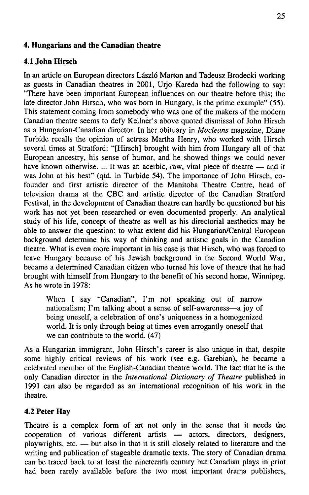# **4. Hungarians and the Canadian theatre**

# **4.1 John Hirsch**

In an article on European directors László Marton and Tadeusz Brodecki working as guests in Canadian theatres in 2001, Urjo Kareda had the following to say: "There have been important European influences on our theatre before this; the late director John Hirsch, who was bom in Hungary, is the prime example" (55). This statement coming from somebody who was one of the makers of the modern Canadian theatre seems to defy Kellner's above quoted dismissal of John Hirsch as a Hungarian-Canadian director. In her obituary in *Macleans* magazíne, Dianě Turbide recalls the opinion of actress Martha Henry, who worked with Hirsch several times at Stratford: "[Hirsch] brought with him from Hungary all of that European ancestry, his sense of humor, and he showed things we could never have known otherwise. ... It was an acerbic, raw, vital piece of theatre — and it was John at his best" (qtd. in Turbide 54). The importance of John Hirsch, cofounder and first artistic director of the Manitoba Theatre Centre, head of television drama at the CBC and artistic director of the Canadian Stratford Festival, in the development of Canadian theatre can hardly be questioned but his work has not yet been researched or even documented properly. An analytical study of his life, concept of theatre as well as his directorial aesthetics may be able to answer the question: to what extent did his Hungarian/Central European background determine his way of thinking and artistic goals in the Canadian theatre. What is even more important in his case is that Hirsch, who was forced to leave Hungary because of his Jewish background in the Second World War, became a determined Canadian citizen who turned his love of theatre that he had brought with himself from Hungary to the benefit of his second home, Winnipeg. As he wrote in 1978:

When I say "Canadian", I'm not speaking out of narrow nationalism; I'm talking about a sense of self-awareness—a joy of being oneself, a celebration of one's uniqueness in a homogenized world. It is only through being at times even arrogantly oneself that we can contribute to the world. (47)

As a Hungarian immigrant, John Hirsch's career is also unique in that, despite some highly critical reviews of his work (see e.g. Garebian), he became a celebrated member of the English-Canadian theatre world. The fact that he is the only Canadian director in the *International Dictionary of Theatre* published in 1991 can also be regarded as an international recognition of his work in the theatre.

### **4**.2 **Peter Hay**

Theatre is a complex form of art not only in the sense that it needs the cooperation of various different artists — actors, directors, designers, playwrights, etc.  $-$  but also in that it is still closely related to literature and the writing and publication of stageable dramatic texts. The story of Canadian drama can be traced back to at least the nineteenth century but Canadian plays in print had been rarely available before the two most important drama publishers,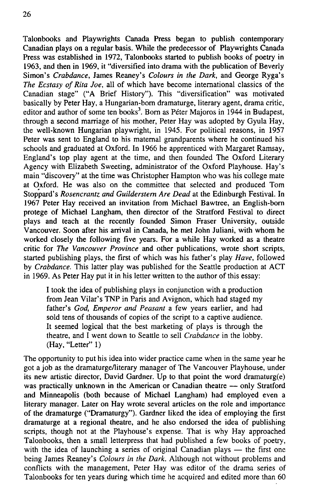Talonbooks and Playwrights Canada Press began to publish contemporary Canadian plays on a regular basis. While the predecessor of Playwrights Canada Press was established in 1972, Talonbooks started to publish books of poetry in 1963, and then in 1969, it "diversified into drama with the publication of Beverly Simon's *Crabdance,* James Reaney's *Colours in the Dark,* and George Ryga's *The Ecstasy of Rita Joe,* all of which have become intemational classics of the Canadian stage" ("A Brief History"). This "diversification" was motivated basically by Peter Hay, a Hungarian-born dramaturge, literary agent, drama critic, editor and author of some ten books<sup>3</sup>. Born as Péter Majoros in 1944 in Budapest, through a second marriage of his mother, Peter Hay was adopted by Gyula Hay, the well-known Hungarian playwright, in 1945. For political reasons, in 1957 Peter was sent to England to his maternal grandparents where he continued his schools and graduated at Oxford. In 1966 he apprenticed with Margaret Ramsay, Englanďs top play agent at the time, and then founded The Oxford Literary Agency with Elizabeth Sweeting, administrator of the Oxford Playhouse. Hay's main "discovery" at the time was Christopher Hampton who was his college mate at Oxford. He was also on the committee that selected and produced Tom Stopparďs *Rosencrantz and Guilderstem Are Dead* at the Edinburgh Festival. In 1967 Peter Hay received an invitation from Michael Bawtree, an English-bom protege of Michael Langham, then director of the Stratford Festival to direct plays and teach at the recently founded Simon Fraser University, outside Vancouver. Soon after his arrival in Canada, he met John Juliani, with whom he worked closely the following five years. For a while Hay worked as a theatre critic for *The Vancouver Province* and other publications, wrote short scripts, started publishing plays, the first of which was his father's play *Have*, followed by *Crabdance.* This latter play was published for the Seattle production at ACT in 1969. As Peter Hay put it in his letter written to the author of this essay:

I took the idea of publishing plays in conjunction with a production from Jean Vilar's TNP in Paris and Avignon, which had staged my father's *God, Emperor and Peasant* a few years earlier, and had sold tens of thousands of copies of the script to a captive audience. It seemed logical that the best marketing of plays is through the theatre, and I went down to Seattle to seli *Crabdance* in the lobby. (Hav, "Letter" 1)

The opportunity to put his idea into wider practice came when in the same year he got a job as the dramaturge/literary manager of The Vancouver Playhouse, under its new artistic director, David Gardner. Up to that point the word dramaturg(e) was practically unknown in the American or Canadian theatre — only Stratford and Minneapolis (both because of Michael Langham) had employed even a literary manager. Later on Hay wrote several articles on the role and importance of the dramaturge ("Dramaturgy"). Gardner liked the idea of employing the first dramaturge at a regional theatre, and he also endorsed the idea of publishing scripts, though not at the Playhouse's expense. That is why Hay approached Talonbooks, then a small letterpress that had published a few books of poetry, with the idea of launching a series of original Canadian plays — the first one being James Reaney's *Colours in the Dark.* Although not without problems and conflicts with the management, Peter Hay was editor of the drama series of Talonbooks for ten years during which time he acquired and edited more than 60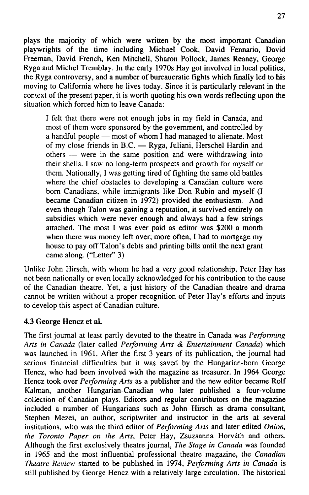plays the majority of which were written by the most important Canadian playwrights of the time including Michael Cook, David Fennario, David Freeman, David French, Ken Mitchell, Sharon Pollock, James Reaney, George Ryga and Michel Tremblay. In the early 1970s Hay got involved in local politics, the Ryga controversy, and a number of bureaucratic fights which finally led to his moving to California where he lives today. Since it is particularly relevant in the context of the present paper, it is worth quoting his own words reflecting upon the situation which forced him to leave Canada:

I felt that there were not enough jobs in my field in Canada, and most of them were sponsored by the government, and controlled by a handful people — most of whom I had managed to alienate. Most of my close friends in B.C. — Ryga. Juliani, Herschel Hardin and others — were in the same position and were withdrawing into their shells. I saw no long-term prospects and growth for myself oř them. Nationally, I was getting tired of fighting the same old battles where the chief obstacles to developing a Canadian culture were born Canadians, while immigrants like Don Rubin and myself (I became Canadian citizen in 1972) provided the enthusiasm. And even though Talon was gaining a reputation, it survived entirely on subsidies which were never enough and always had a few strings attached. The most I was ever paid as editor was \$200 a month when there was money left over; more often, I had to mortgage my house to pay off Talon's debts and printing bills until the next grant came along. ("Letter" 3)

Unlike John Hirsch, with whom he had a very good relationship, Peter Hay has not been nationally or even locally acknowledged for his contribution to the cause of the Canadian theatre. Yet, a just history of the Canadian theatre and drama cannot be written without a proper recognition of Peter Hay's efforts and inputs to develop this aspect of Canadian culture.

# **4.3 George Hencz et al.**

The first journal at least partly devoted to the theatre in Canada was *Performing Arts in Canada* (later called *Performing Arts & Entertainment Canada)* which was launched in 1961. After the first 3 years of its publication, the journal had serious financial difficulties but it was saved by the Hungarian-born George Hencz, who had been involved with the magazíne as treasurer. In 1964 George Hencz took over *Performing Arts* as a publisher and the new editor became Rolf Kalman, another Hungarian-Canadian who later published a four-volume collection of Canadian plays. Editors and regular contributors on the magazíne included a number of Hungarians such as John Hirsch as drama consultant, Stephen Mezei, an author, scriptwriter and instructor in the arts at several institutions, who was the third editor of *Performing Arts* and later edited *Onion, the Toronto Paper on the Arts,* Peter Hay, Zsuzsanna Horváth and others. Although the first exclusively theatre journal, *The Stage in Canada* was founded in 1965 and the most influential professional theatre magazíne, the *Canadian Theatre Review* started to be published in 1974, *Performing Arts in Canada* is still published by George Hencz with a relatively large circulation. The historical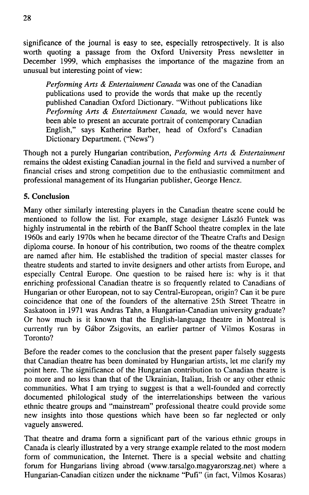significance of the journal is easy to see, especially retrospectively. It is also worth quoting a passage from the Oxford University Press newsletter in December 1999, which emphasises the importance of the magazíne from an unusual but interesting point of view:

*Performing Arts & Entertainment Canada* was one of the Canadian publications used to provide the words that make up the recently published Canadian Oxford Dictionary. "Without publications like *Performing Arts & Entertainment Canada*, we would never have been able to present an accurate portrait of contemporary Canadian English," says Katherine Barber, head of Oxford's Canadian Dictionary Department. ("News")

Though not a purely Hungarian contribution, *Performing Arts & Entertainment*  remains the oldest existing Canadian journal in the field and survived a number of financial crises and strong competition due to the enthusiastic commitment and Professional management of its Hungarian publisher, George Hencz.

# **5. Conclusion**

Many other similarly interesting players in the Canadian theatre scene could be mentioned to follow the list. For example, stage designer László Funtek was highly instrumental in the rebirth of the Banff School theatre complex in the late 1960s and early 1970s when he became director of the Theatre Crafts and Design diploma course. In honour of his contribution, two rooms of the theatre complex are named after him. He established the tradition of speciál master classes for theatre students and started to invite designers and other artists from Europe, and especially Central Europe. One question to be raised here is: why is it that enriching professional Canadian theatre is so frequently related to Canadians of Hungarian or other European, not to say Central-European, origin? Can it be pure coincidence that one of the founders of the alternative 25th Street Theatre in Saskatoon in 1971 was Andras Tahn, a Hungarian-Canadian university graduate? Or how much is it known that the English-language theatre in Montreal is currently run by Gábor Zsigovits, an earlier partner of Vilmos Kosaras in Toronto?

Before the reader comes to the conclusion that the present páper falsely suggests that Canadian theatre has been dominated by Hungarian artists, let me clarify my point here. The significance of the Hungarian contribution to Canadian theatre is no more and no less than that of the Ukrainian, Italian, Irish or any other ethnic communities. What I am trying to suggest is that a well-founded and correctly documented philological study of the interrelationships between the various ethnic theatre groups and "mainstream" professional theatre could provide some new insights into those questions which have been so far neglected or only vaguely answered.

That theatre and drama form a significant part of the various ethnic groups in Canada is clearly illustrated by a very strange example related to the most modern form of communication, the Internet. There is a special website and chatting fórum for Hungarians living abroad ([www.tarsalgo.magyarorszag.net\)](http://www.tarsalgo.magyarorszag.net) where a Hungarian-Canadian citizen under the nickname "Pufi" (in fact, Vilmos Kosaras)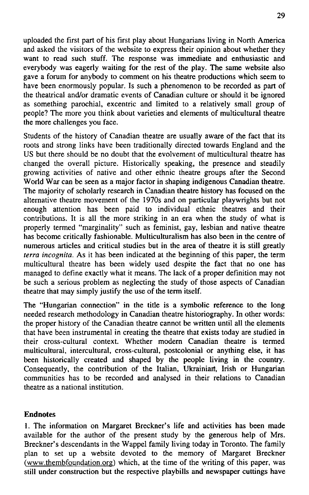uploaded the first part of his first play about Hungarians living in North America and asked the visitors of the website to express their opinion about whether they want to read such stuff. The response was immediate and enthusiastic and everybody was eagerly waiting for the rest of the play. The same website also gave a fórum for anybody to comment on his theatre productions which seem to have been enormously popular. Is such a phenomenon to be recorded as part of the theatrical and/or dramatic events of Canadian culture or should it be ignored as something parochial, excentric and limited to a relatively small group of people? The more you think about varieties and elements of multicultural theatre the more challenges you face.

Students of the history of Canadian theatre are usually aware of the fact that its roots and strong links have been traditionally directed towards England and the US but there should be no doubt that the evolvement of multicultural theatre has changed the overall picture. Historically speaking, the presence and steadily growing activities of native and other ethnic theatre groups after the Second World War can be seen as a major factor in shaping indigenous Canadian theatre. The majority of scholarly research in Canadian theatre history has focused on the alternative theatre movement of the 1970s and on particular playwrights but not enough attention has been paid to individual ethnic theatres and their contributions. It is all the more striking in an era when the study of what is properly termed "marginality" such as feminist, gay, lesbian and native theatre has become critically fashionable. Multiculturalism has also been in the centre of numerous articles and critical studies but in the area of theatre it is still greatly *terra incognita*. As it has been indicated at the beginning of this paper, the term multicultural theatre has been widely used despite the fact that no one has managed to defíne exactly what it means. The lack of a proper definition may not be such a serious problem as neglecting the study of those aspects of Canadian theatre that may simply justify the use of the term itself.

The "Hungarian connection" in the title is a symbolic reference to the Iong needed research methodology in Canadian theatre historiography. In other words: the proper history of the Canadian theatre cannot be written until all the elements that have been instrumental in creating the theatre that exists today are studied in their cross-cultural context. Whether modem Canadian theatre is termed multicultural, intercultural, cross-cultural, postcolonial or anything else, it has been historically created and shaped by the people living in the country. Consequently, the contribution of the Italian, Ukrainiart, Irish or Hungarian communities has to be recorded and analysed in their relations to Canadian theatre as a national institution.

# **Endnotes**

1. The information on Margaret Breckner's life and activities has been made available for the author of the present study by the generous help of Mrs. Breckner's descendants in the Wappel family living today in Toronto. The family pian to set up a website devoted to the memory of Margaret Breckner ([www.thembfoundation.org\)](http://www.thembfoundation.org) which, at the time of the writing of this paper, was still under construction but the respective playbills and newspaper cuttings have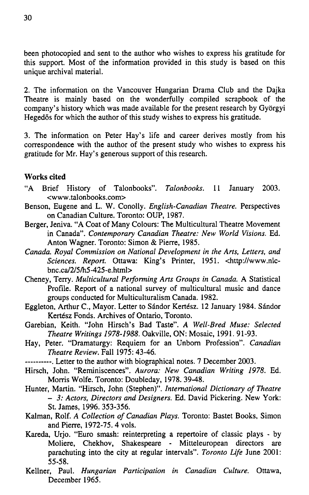been photocopied and sent to the author who wishes to express his gratitude for this support. Most of the information provided in this study is based on this unique archival materiál.

2. The information on the Vancouver Hungarian Drama Club and the Dajka Theatre is mainly based on the wonderfully compiled scrapbook of the company's history which was made available for the present research by Gyórgyi Hegedós for which the author of this study wishes to express his gratitude.

3. The information on Peter Hay's life and career derives mostly from his correspondence with the author of the present study who wishes to express his gratitude for Mr. Hay's generous support of this research.

### **Works cited**

- " A Brief History of Talonbooks". *Talonbooks.* 11 January 2003. <[www.talonbooks.com>](http://www.talonbooks.com)
- Benson, Eugene and L. W. Conolly. *English-Canadian Theatre.* Perspectives on Canadian Culture. Toronto: OUP, 1987.
- Berger, Jeniva. "A Coat of Many Colours: The Multicultural Theatre Movement in Canada". *Contemporary Canadian Theatre: New World Visions.* Ed. Anton Wagner. Toronto: Simon & Pierre, 1985.
- *Canada. Royal Commission on National Development in the Arts, Letters, and Sciences. Report.* Ottawa: King's Printer, 1951. <[http://www.nlc](http://www.nlc-)bnc.ca/2/5/h5-425-e.html>
- Cheney, Terry. *Multicultural Performing Arts Groups in Canada. A* Statistical Profile. Report of a national survey of multicultural music and dance groups conducted for Multiculturalism Canada. 1982.
- Eggleton, Arthur C., Mayor. Letter to Sándor Kertész. 12 January 1984. Sándor Kertész Fonds. Archives of Ontario, Toronto.
- Garebian, Keith. "John Hirsch's Bad Taste". *A Well-Bred Muse: Selected Theatre Writings 1978-1988.* Oakville, ON: Mosaic, 1991. 91-93.
- Hay, Peter. "Dramaturgy: Requiem for an Unbom Profession". *Canadian Theatre Review.* Fall 1975: 43-46.
- . Letter to the author with biographical notes. 7 December 2003.
- Hirsch, John. "Reminiscences". *Aurora: New Canadian Writing 1978.* Ed. Morris Wolfe. Toronto: Doubleday, 1978. 39-48.
- Hunter, Martin. "Hirsch, John (Stephen)". *International Dictionary of Theatre - 3: Actors, Directors and Designers.* Ed. David Pickering. New York: St. James, 1996. 353-356.
- Kalman, Rolf. *A Collection of Canadian Plays.* Toronto: Bastet Books, Simon and Pierre, 1972-75. 4 vols.
- Kareda, Urjo. "Euro smash: reinterpreting a repertoire of classic plays by Moliere, Chekhov, Shakespeare - Mitteleuropean directors are parachuting into the city at regular intervals". *Toronto Life* June 2001: 55-58.
- Kellner, Paul. *Hungarian Participation in Canadian Culture.* Ottawa, December 1965.